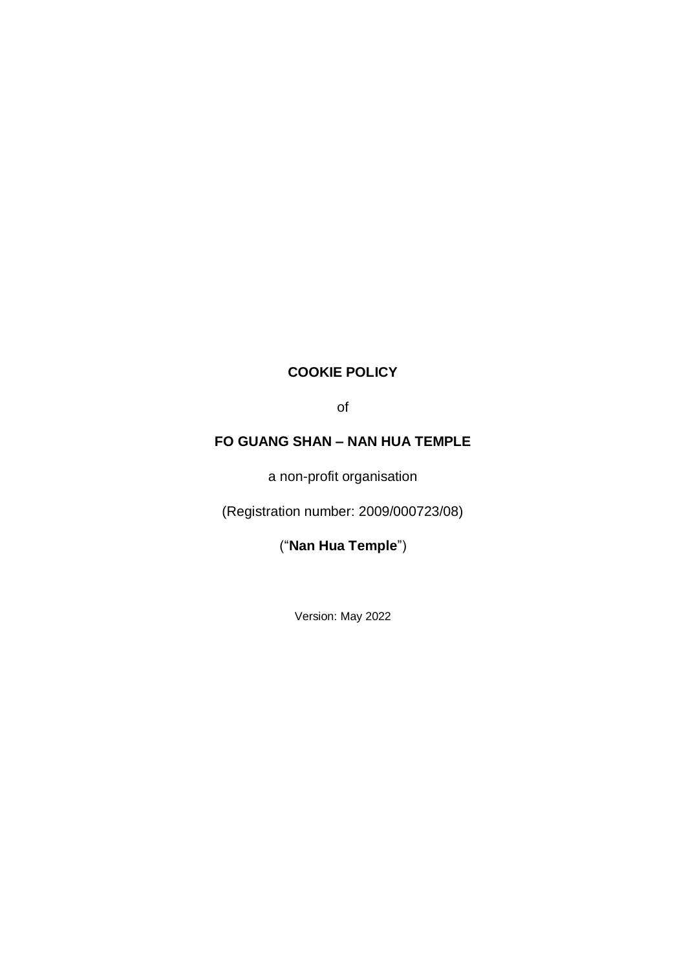## **COOKIE POLICY**

of

# **FO GUANG SHAN – NAN HUA TEMPLE**

a non-profit organisation

(Registration number: 2009/000723/08)

("**Nan Hua Temple**")

Version: May 2022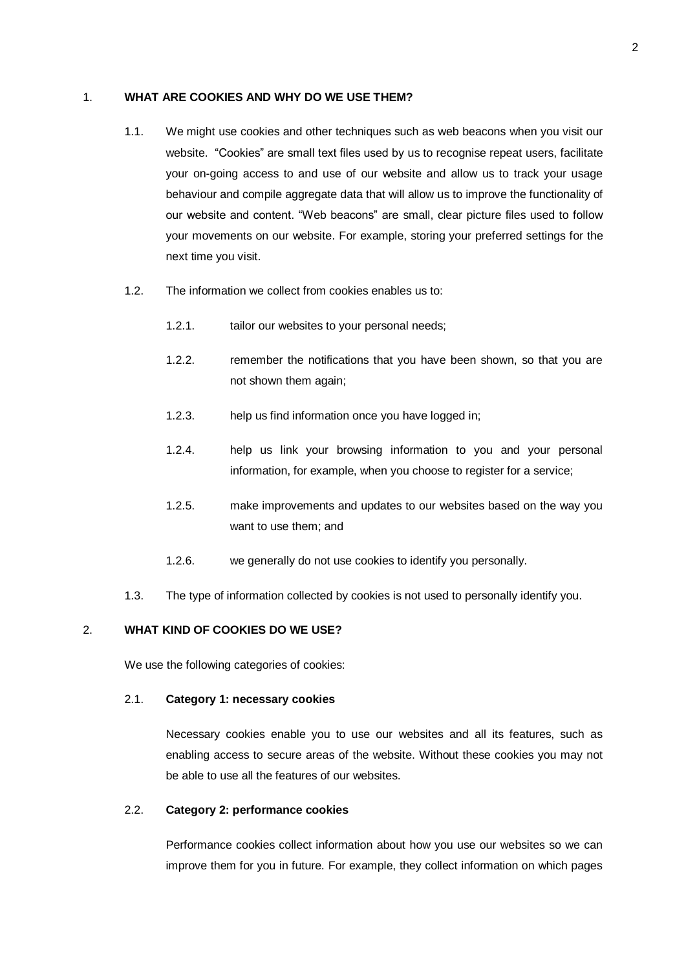#### 1. **WHAT ARE COOKIES AND WHY DO WE USE THEM?**

- 1.1. We might use cookies and other techniques such as web beacons when you visit our website. "Cookies" are small text files used by us to recognise repeat users, facilitate your on-going access to and use of our website and allow us to track your usage behaviour and compile aggregate data that will allow us to improve the functionality of our website and content. "Web beacons" are small, clear picture files used to follow your movements on our website. For example, storing your preferred settings for the next time you visit.
- 1.2. The information we collect from cookies enables us to:
	- 1.2.1. tailor our websites to your personal needs;
	- 1.2.2. remember the notifications that you have been shown, so that you are not shown them again;
	- 1.2.3. help us find information once you have logged in;
	- 1.2.4. help us link your browsing information to you and your personal information, for example, when you choose to register for a service;
	- 1.2.5. make improvements and updates to our websites based on the way you want to use them; and
	- 1.2.6. we generally do not use cookies to identify you personally.
- 1.3. The type of information collected by cookies is not used to personally identify you.

### 2. **WHAT KIND OF COOKIES DO WE USE?**

We use the following categories of cookies:

#### 2.1. **Category 1: necessary cookies**

Necessary cookies enable you to use our websites and all its features, such as enabling access to secure areas of the website. Without these cookies you may not be able to use all the features of our websites.

#### 2.2. **Category 2: performance cookies**

Performance cookies collect information about how you use our websites so we can improve them for you in future. For example, they collect information on which pages